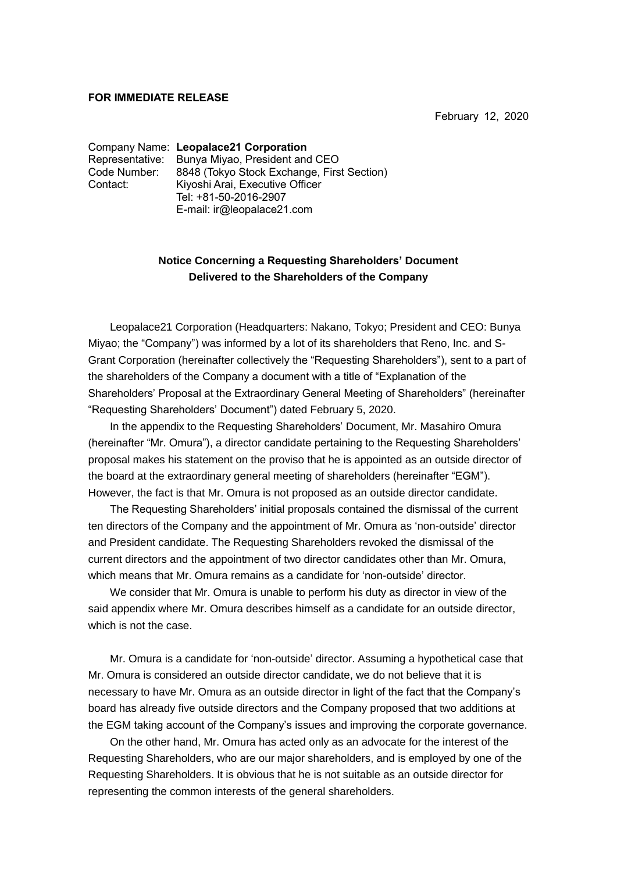## **FOR IMMEDIATE RELEASE**

February 12, 2020

Company Name: **Leopalace21 Corporation** Representative: Bunya Miyao, President and CEO Code Number: 8848 (Tokyo Stock Exchange, First Section) Contact: Kiyoshi Arai, Executive Officer Tel: +81-50-2016-2907 E-mail: ir@leopalace21.com

## **Notice Concerning a Requesting Shareholders' Document Delivered to the Shareholders of the Company**

Leopalace21 Corporation (Headquarters: Nakano, Tokyo; President and CEO: Bunya Miyao; the "Company") was informed by a lot of its shareholders that Reno, Inc. and S-Grant Corporation (hereinafter collectively the "Requesting Shareholders"), sent to a part of the shareholders of the Company a document with a title of "Explanation of the Shareholders' Proposal at the Extraordinary General Meeting of Shareholders" (hereinafter "Requesting Shareholders' Document") dated February 5, 2020.

In the appendix to the Requesting Shareholders' Document, Mr. Masahiro Omura (hereinafter "Mr. Omura"), a director candidate pertaining to the Requesting Shareholders' proposal makes his statement on the proviso that he is appointed as an outside director of the board at the extraordinary general meeting of shareholders (hereinafter "EGM"). However, the fact is that Mr. Omura is not proposed as an outside director candidate.

The Requesting Shareholders' initial proposals contained the dismissal of the current ten directors of the Company and the appointment of Mr. Omura as 'non-outside' director and President candidate. The Requesting Shareholders revoked the dismissal of the current directors and the appointment of two director candidates other than Mr. Omura, which means that Mr. Omura remains as a candidate for 'non-outside' director.

We consider that Mr. Omura is unable to perform his duty as director in view of the said appendix where Mr. Omura describes himself as a candidate for an outside director, which is not the case.

Mr. Omura is a candidate for 'non-outside' director. Assuming a hypothetical case that Mr. Omura is considered an outside director candidate, we do not believe that it is necessary to have Mr. Omura as an outside director in light of the fact that the Company's board has already five outside directors and the Company proposed that two additions at the EGM taking account of the Company's issues and improving the corporate governance.

On the other hand, Mr. Omura has acted only as an advocate for the interest of the Requesting Shareholders, who are our major shareholders, and is employed by one of the Requesting Shareholders. It is obvious that he is not suitable as an outside director for representing the common interests of the general shareholders.